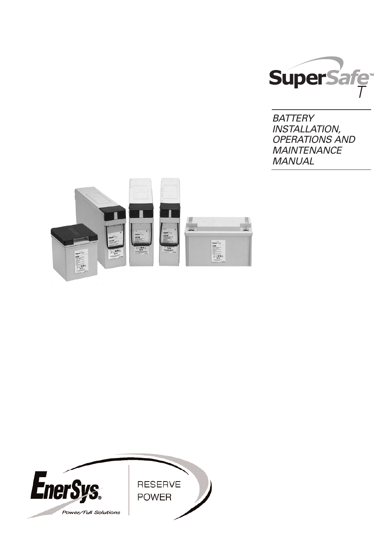

**BATTERY** INSTALLATION, OPERATIONS AND **MAINTENANCE** MANUAL



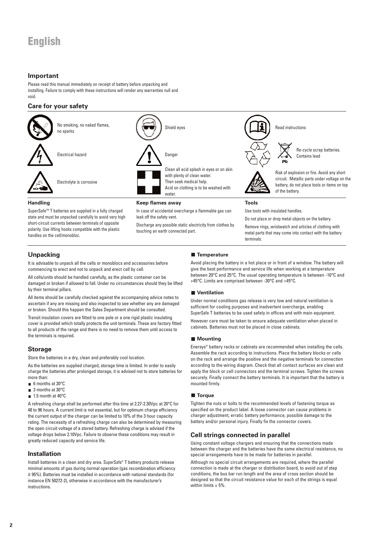# **English**

### **Important**

Please read this manual immediately on receipt of battery before unpacking and installing. Failure to comply with these instructions will render any warranties null and void.

### **Care for your safety**



Discharge any possible static electricity from clothes by touching an earth connected part.

circuit. Metallic parts under voltage on the battery, do not place tools or items on top

short-circuit currents between terminals of opposite polarity. Use lifting hooks compatible with the plastic handles on the cell/monobloc.

Remove rings, wristwatch and articles of clothing with metal parts that may come into contact with the battery terminals.

### **Unpacking**

It is advisable to unpack all the cells or monoblocs and accessories before commencing to erect and not to unpack and erect cell by cell.

All cells/units should be handled carefully, as the plastic container can be damaged or broken if allowed to fall. Under no circumstances should they be lifted by their terminal pillars.

All items should be carefully checked against the accompanying advice notes to ascertain if any are missing and also inspected to see whether any are damaged or broken. Should this happen the Sales Department should be consulted.

Transit insulation covers are fitted to one pole or a one rigid plastic insulating cover is provided which totally protects the unit terminals. These are factory fitted to all products of the range and there is no need to remove them until access to the terminals is required.

### **Storage**

Store the batteries in a dry, clean and preferably cool location.

As the batteries are supplied charged, storage time is limited. In order to easily charge the batteries after prolonged storage, it is advised not to store batteries for more than:

- 6 months at 20°C
- 3 months at 30°C
- 1.5 month at 40°C

A refreshing charge shall be performed after this time at 2.27-2.30Vpc at 20°C for 48 to 96 hours. A current limit is not essential, but for optimum charge efficiency the current output of the charger can be limited to 10% of the 3 hour capacity rating. The necessity of a refreshing charge can also be determined by measuring the open circuit voltage of a stored battery. Refreshing charge is advised if the voltage drops below 2.10Vpc. Failure to observe these conditions may result in greatly reduced capacity and service life.

### **Installation**

Install batteries in a clean and dry area. SuperSafe® T battery products release minimal amounts of gas during normal operation (gas recombination efficiency ≥ 95%). Batteries must be installed in accordance with national standards (for instance EN 50272-2), otherwise in accordance with the manufacturer's instructions.

### **Temperature**

Avoid placing the battery in a hot place or in front of a window. The battery will give the best performance and service life when working at a temperature between 20°C and 25°C. The usual operating temperature is between -10°C and +45°C. Limits are comprised between -30°C and +45°C.

#### **Ventilation**

Under normal conditions gas release is very low and natural ventilation is sufficient for cooling purposes and inadvertent overcharge, enabling SuperSafe T batteries to be used safely in offices and with main equipment.

However care must be taken to ensure adequate ventilation when placed in cabinets. Batteries must not be placed in close cabinets.

#### **Mounting**

Enersys® battery racks or cabinets are recommended when installing the cells. Assemble the rack according to instructions. Place the battery blocks or cells on the rack and arrange the positive and the negative terminals for connection according to the wiring diagram. Check that all contact surfaces are clean and apply the block or cell connectors and the terminal screws. Tighten the screws securely. Finally connect the battery terminals. It is important that the battery is mounted firmly.

#### **Torque**

Tighten the nuts or bolts to the recommended levels of fastening torque as specified on the product label. A loose connector can cause problems in charger adjustment, erratic battery performance, possible damage to the battery and/or personal injury. Finally fix the connector covers.

### **Cell strings connected in parallel**

Using constant voltage chargers and ensuring that the connections made between the charger and the batteries have the same electrical resistance, no special arrangements have to be made for batteries in parallel.

Although no special circuit arrangements are required, where the parallel connection is made at the charger or distribution board, to avoid out of step conditions, the bus bar run length and the area of cross section should be designed so that the circuit resistance value for each of the strings is equal within limits  $\pm$  5%.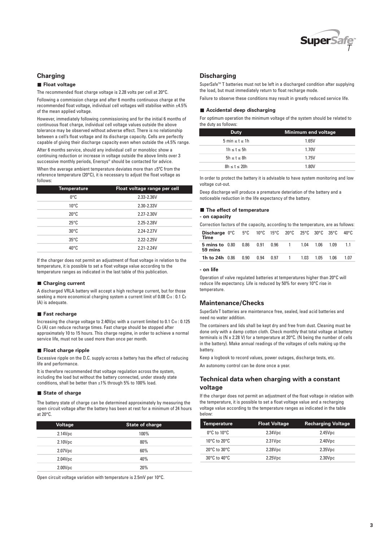

### **Charging**

follows:

#### **Float voltage**

The recommended float charge voltage is 2.28 volts per cell at 20°C.

Following a commission charge and after 6 months continuous charge at the recommended float voltage, individual cell voltages will stabilise within ±4.5% of the mean applied voltage.

However, immediately following commissioning and for the initial 6 months of continuous float charge, individual cell voltage values outside the above tolerance may be observed without adverse effect. There is no relationship between a cell's float voltage and its discharge capacity. Cells are perfectly capable of giving their discharge capacity even when outside the ±4.5% range.

After 6 months service, should any individual cell or monobloc show a continuing reduction or increase in voltage outside the above limits over 3 successive monthly periods, Enersys® should be contacted for advice. When the average ambient temperature deviates more than  $\pm 5^{\circ}$ C from the reference temperature (20°C), it is necessary to adjust the float voltage as

| <b>Temperature</b> | Float voltage range per cell |
|--------------------|------------------------------|
| 0°C                | 2.33-2.36V                   |
| $10^{\circ}$ C     | 2.30-2.33V                   |
| $20^{\circ}$ C     | 2.27-2.30V                   |
| $25^{\circ}$ C     | 2.25-2.28V                   |
| $30^{\circ}$ C     | 2.24-2.27V                   |
| $35^{\circ}$ C     | 2.22-2.25V                   |
| $40^{\circ}$ C     | 2.21-2.24V                   |

If the charger does not permit an adjustment of float voltage in relation to the temperature, it is possible to set a float voltage value according to the temperature ranges as indicated in the last table of this publication.

#### **Charging current**

A discharged VRLA battery will accept a high recharge current, but for those seeking a more economical charging system a current limit of 0.08 C10 : 0.1 C3 (A) is adequate.

#### **Fast recharge**

Increasing the charge voltage to 2.40Vpc with a current limited to 0.1 C10: 0.125 C3 (A) can reduce recharge times. Fast charge should be stopped after approximately 10 to 15 hours. This charge regime, in order to achieve a normal service life, must not be used more than once per month.

#### **Float charge ripple**

Excessive ripple on the D.C. supply across a battery has the effect of reducing life and performance.

It is therefore recommended that voltage regulation across the system, including the load but without the battery connected, under steady state conditions, shall be better than ±1% through 5% to 100% load.

#### **State of charge**

The battery state of charge can be determined approximately by measuring the open circuit voltage after the battery has been at rest for a minimum of 24 hours at 20°C.

| <b>Voltage</b> | <b>State of charge</b> |
|----------------|------------------------|
| 2.14Vpc        | 100%                   |
| 2.10Vpc        | 80%                    |
| 2.07Vpc        | 60%                    |
| 2.04Vpc        | 40%                    |
| 2.00Vpc        | 20%                    |

Open circuit voltage variation with temperature is 2.5mV per 10°C.

### **Discharging**

SuperSafe<sup>™</sup> T batteries must not be left in a discharged condition after supplying the load, but must immediately return to float recharge mode.

Failure to observe these conditions may result in greatly reduced service life.

#### **Accidental deep discharging**

For optimum operation the minimum voltage of the system should be related to the duty as follows:

| <b>Duty</b>             | Minimum end voltage |
|-------------------------|---------------------|
| 5 min $\leq t \leq 1$ h | 1.65V               |
| $1h \leq t \leq 5h$     | 1.70V               |
| $5h \leq t \leq 8h$     | 1.75V               |
| $8h \le t \le 20h$      | 1.80V               |

In order to protect the battery it is advisable to have system monitoring and low voltage cut-out.

Deep discharge will produce a premature deteriation of the battery and a noticeable reduction in the life expectancy of the battery.

#### **The effect of temperature**

**- on capacity**

Correction factors of the capacity, according to the temperature, are as follows:

| <b>Discharge 0°C</b> 5°C 10°C 15°C 20°C 25°C 30°C 35°C 40°C<br>Time |      |      |      |                           |      |      |      |      |
|---------------------------------------------------------------------|------|------|------|---------------------------|------|------|------|------|
| <b>5 mins to</b> 0.80<br>59 mins                                    |      |      |      | 0.86  0.91  0.96  1  1.04 |      | 1.06 | 1.09 |      |
| <b>1h to 24h</b> $0.86$                                             | 0.90 | 0.94 | 0.97 | $\overline{1}$            | 1.03 | 1.05 | 1.06 | 1 N7 |
|                                                                     |      |      |      |                           |      |      |      |      |

#### **- on life**

Operation of valve regulated batteries at temperatures higher than 20°C will reduce life expectancy. Life is reduced by 50% for every 10°C rise in temperature.

#### **Maintenance/Checks**

SuperSafeT batteries are maintenance free, sealed, lead acid batteries and need no water addition.

The containers and lids shall be kept dry and free from dust. Cleaning must be done only with a damp cotton cloth. Check monthly that total voltage at battery terminals is (N x 2.28 V) for a temperature at 20°C. (N being the number of cells in the battery). Make annual readings of the voltages of cells making up the battery.

Keep a logbook to record values, power outages, discharge tests, etc.

An autonomy control can be done once a year.

### **Technical data when charging with a constant voltage**

If the charger does not permit an adjustment of the float voltage in relation with the temperature, it is possible to set a float voltage value and a recharging voltage value according to the temperature ranges as indicated in the table below:

| Temperature                      | <b>Float Voltage</b> | <b>Recharging Voltage</b> |
|----------------------------------|----------------------|---------------------------|
| $0^{\circ}$ C to $10^{\circ}$ C  | 2.34Vpc              | 2.45Vpc                   |
| 10 $\degree$ C to 20 $\degree$ C | 2.31Vpc              | 2.40Vpc                   |
| $20^{\circ}$ C to $30^{\circ}$ C | 2.28Vpc              | 2.35Vpc                   |
| $30^{\circ}$ C to $40^{\circ}$ C | 2.25Vpc              | 2.30Vpc                   |